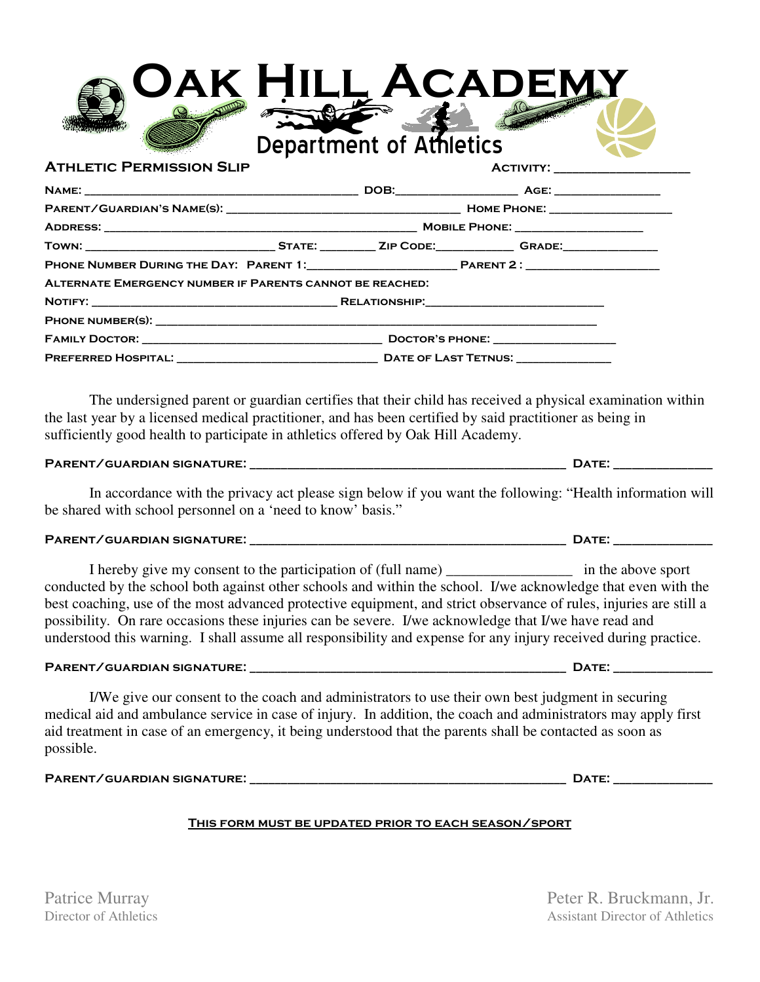|                                                             | OAK HILL ACADEMY<br><b>Report Follows</b>                                                                                                                                                                                                                                                                                                                                                                                                                                                                                                                           |
|-------------------------------------------------------------|---------------------------------------------------------------------------------------------------------------------------------------------------------------------------------------------------------------------------------------------------------------------------------------------------------------------------------------------------------------------------------------------------------------------------------------------------------------------------------------------------------------------------------------------------------------------|
|                                                             | Department of Athletics                                                                                                                                                                                                                                                                                                                                                                                                                                                                                                                                             |
| <b>ATHLETIC PERMISSION SLIP</b>                             |                                                                                                                                                                                                                                                                                                                                                                                                                                                                                                                                                                     |
|                                                             |                                                                                                                                                                                                                                                                                                                                                                                                                                                                                                                                                                     |
|                                                             |                                                                                                                                                                                                                                                                                                                                                                                                                                                                                                                                                                     |
|                                                             |                                                                                                                                                                                                                                                                                                                                                                                                                                                                                                                                                                     |
|                                                             |                                                                                                                                                                                                                                                                                                                                                                                                                                                                                                                                                                     |
|                                                             |                                                                                                                                                                                                                                                                                                                                                                                                                                                                                                                                                                     |
| ALTERNATE EMERGENCY NUMBER IF PARENTS CANNOT BE REACHED:    |                                                                                                                                                                                                                                                                                                                                                                                                                                                                                                                                                                     |
|                                                             |                                                                                                                                                                                                                                                                                                                                                                                                                                                                                                                                                                     |
|                                                             |                                                                                                                                                                                                                                                                                                                                                                                                                                                                                                                                                                     |
|                                                             |                                                                                                                                                                                                                                                                                                                                                                                                                                                                                                                                                                     |
|                                                             |                                                                                                                                                                                                                                                                                                                                                                                                                                                                                                                                                                     |
|                                                             | In accordance with the privacy act please sign below if you want the following: "Health information will                                                                                                                                                                                                                                                                                                                                                                                                                                                            |
| be shared with school personnel on a 'need to know' basis." |                                                                                                                                                                                                                                                                                                                                                                                                                                                                                                                                                                     |
|                                                             |                                                                                                                                                                                                                                                                                                                                                                                                                                                                                                                                                                     |
|                                                             | I hereby give my consent to the participation of (full name) ________________ in the above sport<br>conducted by the school both against other schools and within the school. I/we acknowledge that even with the<br>best coaching, use of the most advanced protective equipment, and strict observance of rules, injuries are still a<br>possibility. On rare occasions these injuries can be severe. I/we acknowledge that I/we have read and<br>understood this warning. I shall assume all responsibility and expense for any injury received during practice. |
|                                                             |                                                                                                                                                                                                                                                                                                                                                                                                                                                                                                                                                                     |
| possible.                                                   | I/We give our consent to the coach and administrators to use their own best judgment in securing<br>medical aid and ambulance service in case of injury. In addition, the coach and administrators may apply first<br>aid treatment in case of an emergency, it being understood that the parents shall be contacted as soon as                                                                                                                                                                                                                                     |
|                                                             |                                                                                                                                                                                                                                                                                                                                                                                                                                                                                                                                                                     |
|                                                             | THIS FORM MUST BE UPDATED PRIOR TO EACH SEASON/SPORT                                                                                                                                                                                                                                                                                                                                                                                                                                                                                                                |